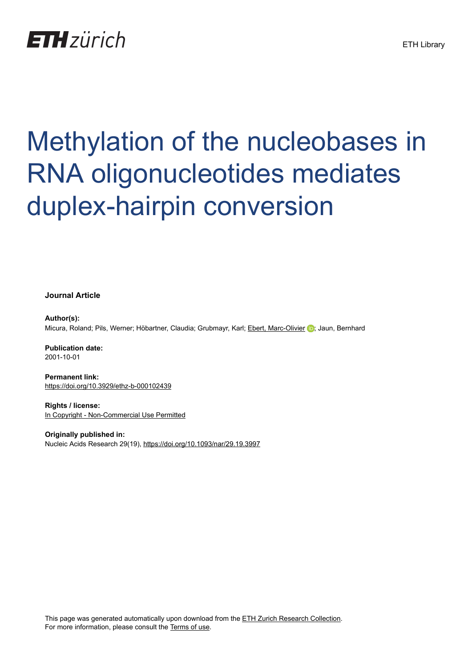## **ETH** zürich

# Methylation of the nucleobases in RNA oligonucleotides mediates duplex-hairpin conversion

**Journal Article**

**Author(s):** Micura, Roland; Pils, Werner; Höbartner, Claudia; Grubmayr, Karl; [Ebert, Marc-Olivier](https://orcid.org/0000-0003-1507-219X) (D; Jaun, Bernhard

**Publication date:** 2001-10-01

**Permanent link:** <https://doi.org/10.3929/ethz-b-000102439>

**Rights / license:** [In Copyright - Non-Commercial Use Permitted](http://rightsstatements.org/page/InC-NC/1.0/)

**Originally published in:** Nucleic Acids Research 29(19), <https://doi.org/10.1093/nar/29.19.3997>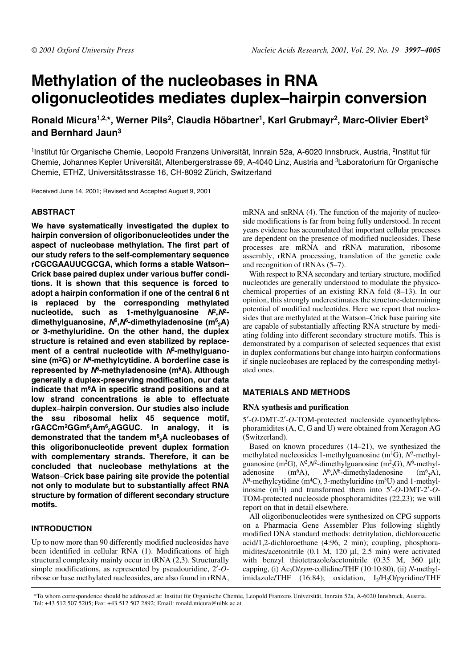### **Methylation of the nucleobases in RNA oligonucleotides mediates duplex–hairpin conversion**

**Ronald Micura1,2,\*, Werner Pils2, Claudia Höbartner1, Karl Grubmayr2, Marc-Olivier Ebert3 and Bernhard Jaun3**

1Institut für Organische Chemie, Leopold Franzens Universität, Innrain 52a, A-6020 Innsbruck, Austria, <sup>2</sup>Institut für Chemie, Johannes Kepler Universität, Altenbergerstrasse 69, A-4040 Linz, Austria and 3Laboratorium für Organische Chemie, ETHZ, Universitätsstrasse 16, CH-8092 Zürich, Switzerland

Received June 14, 2001; Revised and Accepted August 9, 2001

#### **ABSTRACT**

**We have systematically investigated the duplex to hairpin conversion of oligoribonucleotides under the aspect of nucleobase methylation. The first part of our study refers to the self-complementary sequence rCGCGAAUUCGCGA, which forms a stable Watson– Crick base paired duplex under various buffer conditions. It is shown that this sequence is forced to adopt a hairpin conformation if one of the central 6 nt is replaced by the corresponding methylated nucleotide, such as 1-methylguanosine N2,N2 dimethylguanosine, N6,N6-dimethyladenosine (m6 2A) or 3-methyluridine. On the other hand, the duplex structure is retained and even stabilized by replacement of a central nucleotide with N2-methylguanosine (m2G) or N4-methylcytidine. A borderline case is represented by N6-methyladenosine (m6A). Although generally a duplex-preserving modification, our data indicate that m6A in specific strand positions and at low strand concentrations is able to effectuate duplex**–**hairpin conversion. Our studies also include the ssu ribosomal helix 45 sequence motif, rGACCm2GGm6 2Am6 2AGGUC. In analogy, it is demonstrated that the tandem m6 2A nucleobases of this oligoribonucleotide prevent duplex formation with complementary strands. Therefore, it can be concluded that nucleobase methylations at the Watson**–**Crick base pairing site provide the potential not only to modulate but to substantially affect RNA structure by formation of different secondary structure motifs.**

#### **INTRODUCTION**

Up to now more than 90 differently modified nucleosides have been identified in cellular RNA (1). Modifications of high structural complexity mainly occur in tRNA (2,3). Structurally simple modifications, as represented by pseudouridine, 2′-*O*ribose or base methylated nucleosides, are also found in rRNA, mRNA and snRNA (4). The function of the majority of nucleoside modifications is far from being fully understood. In recent years evidence has accumulated that important cellular processes are dependent on the presence of modified nucleosides. These processes are mRNA and rRNA maturation, ribosome assembly, rRNA processing, translation of the genetic code and recognition of tRNAs (5–7).

With respect to RNA secondary and tertiary structure, modified nucleotides are generally understood to modulate the physicochemical properties of an existing RNA fold (8–13). In our opinion, this strongly underestimates the structure-determining potential of modified nucleotides. Here we report that nucleosides that are methylated at the Watson–Crick base pairing site are capable of substantially affecting RNA structure by mediating folding into different secondary structure motifs. This is demonstrated by a comparison of selected sequences that exist in duplex conformations but change into hairpin conformations if single nucleobases are replaced by the corresponding methylated ones.

#### **MATERIALS AND METHODS**

#### **RNA synthesis and purification**

5′-*O*-DMT-2′-*O*-TOM-protected nucleoside cyanoethylphosphoramidites (A, C, G and U) were obtained from Xeragon AG (Switzerland).

Based on known procedures (14–21), we synthesized the methylated nucleosides 1-methylguanosine (m1G), *N*2-methylguanosine (m2G), *N*2,*N*2-dimethylguanosine (m2 2G), *N*6-methyladenosine  $(m<sup>6</sup>A)$ ,  $N<sup>6</sup>$ ,  $N<sup>6</sup>$ -dimethyladenosine  $(m<sup>6</sup><sub>2</sub>A)$ ,  $N^4$ -methylcytidine (m<sup>4</sup>C), 3-methyluridine (m<sup>3</sup>U) and 1-methylinosine (m1I) and transformed them into 5′-*O*-DMT-2′-*O*-TOM-protected nucleoside phosphoramidites (22,23); we will report on that in detail elsewhere.

All oligoribonucleotides were synthesized on CPG supports on a Pharmacia Gene Assembler Plus following slightly modified DNA standard methods: detritylation, dichloroacetic acid/1,2-dichloroethane (4:96, 2 min); coupling, phosphoramidites/acetonitrile (0.1 M, 120 µl, 2.5 min) were activated with benzyl thiotetrazole/acetonitrile (0.35 M, 360 µl); capping, (i)  $Ac_2O/sym$ -collidine/THF (10:10:80), (ii) *N*-methylimidazole/THF  $(16:84)$ ; oxidation, I<sub>2</sub>/H<sub>2</sub>O/pyridine/THF

\*To whom correspondence should be addressed at: Institut für Organische Chemie, Leopold Franzens Universität, Innrain 52a, A-6020 Innsbruck, Austria. Tel: +43 512 507 5205; Fax: +43 512 507 2892; Email: ronald.micura@uibk.ac.at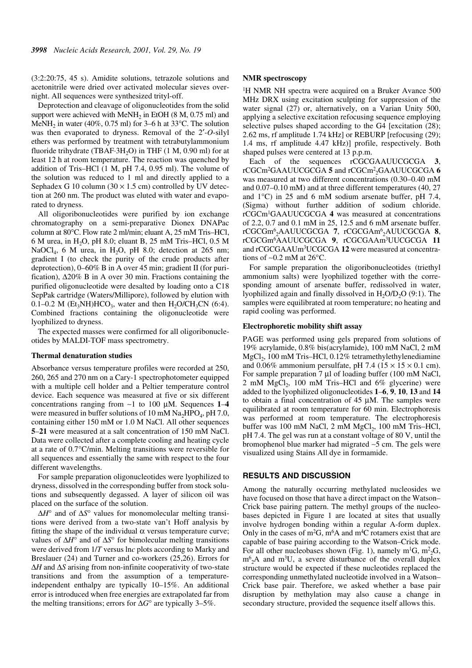(3:2:20:75, 45 s). Amidite solutions, tetrazole solutions and acetonitrile were dried over activated molecular sieves overnight. All sequences were synthesized trityl-off.

Deprotection and cleavage of oligonucleotides from the solid support were achieved with MeNH<sub>2</sub> in EtOH  $(8 M, 0.75 m)$  and MeNH<sub>2</sub> in water (40%, 0.75 ml) for 3–6 h at 33°C. The solution was then evaporated to dryness. Removal of the 2′-*O*-silyl ethers was performed by treatment with tetrabutylammonium fluoride trihydrate (TBAF $\cdot$ 3H<sub>2</sub>O) in THF (1 M, 0.90 ml) for at least 12 h at room temperature. The reaction was quenched by addition of Tris–HCl (1 M, pH 7.4, 0.95 ml). The volume of the solution was reduced to 1 ml and directly applied to a Sephadex G 10 column  $(30 \times 1.5 \text{ cm})$  controlled by UV detection at 260 nm. The product was eluted with water and evaporated to dryness.

All oligoribonucleotides were purified by ion exchange chromatography on a semi-preparative Dionex DNAPac column at 80°C. Flow rate 2 ml/min; eluant A, 25 mM Tris–HCl, 6 M urea, in H<sub>2</sub>O, pH 8.0; eluant B, 25 mM Tris–HCl, 0.5 M NaOCl<sub>4</sub>, 6 M urea, in H<sub>2</sub>O, pH 8.0; detection at 265 nm; gradient I (to check the purity of the crude products after deprotection), 0–60% B in A over 45 min; gradient II (for purification), ∆20% B in A over 30 min. Fractions containing the purified oligonucleotide were desalted by loading onto a C18 SepPak cartridge (Waters/Millipore), followed by elution with 0.1–0.2 M (Et<sub>3</sub>NH)HCO<sub>3</sub>, water and then H<sub>2</sub>O/CH<sub>3</sub>CN (6:4). Combined fractions containing the oligonucleotide were lyophilized to dryness.

The expected masses were confirmed for all oligoribonucleotides by MALDI-TOF mass spectrometry.

#### **Thermal denaturation studies**

Absorbance versus temperature profiles were recorded at 250, 260, 265 and 270 nm on a Cary-1 spectrophotometer equipped with a multiple cell holder and a Peltier temperature control device. Each sequence was measured at five or six different concentrations ranging from ∼1 to 100 µM. Sequences **1**–**4** were measured in buffer solutions of 10 mM  $Na<sub>2</sub>HPO<sub>4</sub>$ , pH 7.0, containing either 150 mM or 1.0 M NaCl. All other sequences **5**–**21** were measured at a salt concentration of 150 mM NaCl. Data were collected after a complete cooling and heating cycle at a rate of 0.7°C/min. Melting transitions were reversible for all sequences and essentially the same with respect to the four different wavelengths.

For sample preparation oligonucleotides were lyophilized to dryness, dissolved in the corresponding buffer from stock solutions and subsequently degassed. A layer of silicon oil was placed on the surface of the solution.

∆*H*° and of ∆*S*° values for monomolecular melting transitions were derived from a two-state van't Hoff analysis by fitting the shape of the individual  $\alpha$  versus temperature curve; values of ∆*H*° and of ∆*S*° for bimolecular melting transitions were derived from 1/*T* versus ln*c* plots according to Marky and Breslauer (24) and Turner and co-workers (25,26). Errors for ∆*H* and ∆*S* arising from non-infinite cooperativity of two-state transitions and from the assumption of a temperatureindependent enthalpy are typically 10–15%. An additional error is introduced when free energies are extrapolated far from the melting transitions; errors for ∆*G*° are typically 3–5%.

#### **NMR spectroscopy**

<sup>1</sup>H NMR NH spectra were acquired on a Bruker Avance 500 MHz DRX using excitation sculpting for suppression of the water signal (27) or, alternatively, on a Varian Unity 500, applying a selective excitation refocusing sequence employing selective pulses shaped according to the G4 [excitation (28); 2.62 ms, rf amplitude 1.74 kHz] or REBURP [refocusing (29); 1.4 ms, rf amplitude 4.47 kHz)] profile, respectively. Both shaped pulses were centered at 13 p.p.m.

Each of the sequences rCGCGAAUUCGCGA **3**, rCGCm2GAAUUCGCGA **5** and rCGCm2 2GAAUUCGCGA **6** was measured at two different concentrations (0.30–0.40 mM and 0.07–0.10 mM) and at three different temperatures (40, 27 and 1°C) in 25 and 6 mM sodium arsenate buffer, pH 7.4, (Sigma) without further addition of sodium chloride. rCGCm1GAAUUCGCGA **4** was measured at concentrations of 2.2, 0.7 and 0.1 mM in 25, 12.5 and 6 mM arsenate buffer. rCGCGm6 2AAUUCGCGA **7**, rCGCGAm6 2AUUCGCGA **8**, rCGCGm6AAUUCGCGA **9**, rCGCGAAm3UUCGCGA **11** and rCGCGAAUm3UCGCGA **12** were measured at concentrations of ∼0.2 mM at 26°C.

For sample preparation the oligoribonucleotides (triethyl ammonium salts) were lyophilized together with the corresponding amount of arsenate buffer, redissolved in water, lyophilized again and finally dissolved in  $H_2O/D_2O$  (9:1). The samples were equilibrated at room temperature; no heating and rapid cooling was performed.

#### **Electrophoretic mobility shift assay**

PAGE was performed using gels prepared from solutions of 19% acrylamide, 0.8% bis(acrylamide), 100 mM NaCl, 2 mM  $MgCl<sub>2</sub>$ , 100 mM Tris–HCl, 0.12% tetramethylethylenediamine and 0.06% ammonium persulfate, pH 7.4 ( $15 \times 15 \times 0.1$  cm). For sample preparation 7 µl of loading buffer (100 mM NaCl, 2 mM  $MgCl<sub>2</sub>$ , 100 mM Tris–HCl and 6% glycerine) were added to the lyophilized oligonucleotides **1**–**6**, **9**, **10**, **13** and **14** to obtain a final concentration of 45 µM. The samples were equilibrated at room temperature for 60 min. Electrophoresis was performed at room temperature. The electrophoresis buffer was 100 mM NaCl,  $2 \text{ mM } MgCl$ , 100 mM Tris–HCl, pH 7.4. The gel was run at a constant voltage of 80 V, until the bromophenol blue marker had migrated ∼5 cm. The gels were visualized using Stains All dye in formamide.

#### **RESULTS AND DISCUSSION**

Among the naturally occurring methylated nucleosides we have focused on those that have a direct impact on the Watson– Crick base pairing pattern. The methyl groups of the nucleobases depicted in Figure 1 are located at sites that usually involve hydrogen bonding within a regular A-form duplex. Only in the cases of  $m^2G$ ,  $m^6A$  and  $m^4C$  rotamers exist that are capable of base pairing according to the Watson–Crick mode. For all other nucleobases shown (Fig. 1), namely  $m^1G$ ,  $m^2{}_{2}G$ ,  $m<sup>6</sup>_{2}$ A and m<sup>3</sup>U, a severe disturbance of the overall duplex structure would be expected if these nucleotides replaced the corresponding unmethylated nucleotide involved in a Watson– Crick base pair. Therefore, we asked whether a base pair disruption by methylation may also cause a change in secondary structure, provided the sequence itself allows this.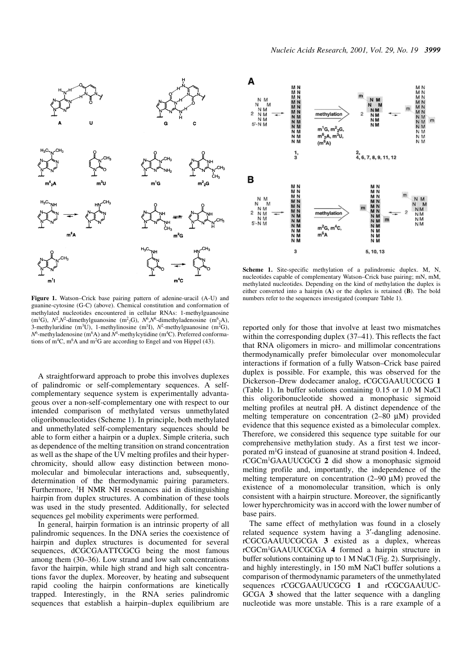

**Figure 1.** Watson–Crick base pairing pattern of adenine-uracil (A-U) and guanine-cytosine (G-C) (above). Chemical constitution and conformation of

methylated nucleotides encountered in cellular RNAs: 1-methylguanosine (m<sup>1</sup>G),  $N^2$ , $N^2$ -dimethylguanosine (m<sup>2</sup><sub>2</sub>G),  $N^6$ , $N^6$ -dimethyladenosine (m<sup>6</sup><sub>2</sub>A), 3-methyluridine (m<sup>3</sup>U), 1-methylinosine (m<sup>1</sup>I),  $N^2$ -methylguanosine (m<sup>2</sup>G),  $N^6$ -methyladenosine (m<sup>6</sup>A) and  $N^4$ -methylcytidine (m<sup>4</sup>C). Preferred conformations of  $m<sup>4</sup>C$ ,  $m<sup>6</sup>A$  and  $m<sup>2</sup>G$  are according to Engel and von Hippel (43).

A straightforward approach to probe this involves duplexes of palindromic or self-complementary sequences. A selfcomplementary sequence system is experimentally advantageous over a non-self-complementary one with respect to our intended comparison of methylated versus unmethylated oligoribonucleotides (Scheme 1). In principle, both methylated and unmethylated self-complementary sequences should be able to form either a hairpin or a duplex. Simple criteria, such as dependence of the melting transition on strand concentration as well as the shape of the UV melting profiles and their hyperchromicity, should allow easy distinction between monomolecular and bimolecular interactions and, subsequently, determination of the thermodynamic pairing parameters. Furthermore, 1H NMR NH resonances aid in distinguishing hairpin from duplex structures. A combination of these tools was used in the study presented. Additionally, for selected sequences gel mobility experiments were performed.

In general, hairpin formation is an intrinsic property of all palindromic sequences. In the DNA series the coexistence of hairpin and duplex structures is documented for several sequences, dCGCGAATTCGCG being the most famous among them (30–36). Low strand and low salt concentrations favor the hairpin, while high strand and high salt concentrations favor the duplex. Moreover, by heating and subsequent rapid cooling the hairpin conformations are kinetically trapped. Interestingly, in the RNA series palindromic sequences that establish a hairpin–duplex equilibrium are



**Scheme 1.** Site-specific methylation of a palindromic duplex. M, N, nucleotides capable of complementary Watson–Crick base pairing; mN, mM, methylated nucleotides. Depending on the kind of methylation the duplex is either converted into a hairpin (**A**) or the duplex is retained (**B**). The bold numbers refer to the sequences investigated (compare Table 1).

reported only for those that involve at least two mismatches within the corresponding duplex (37–41). This reflects the fact that RNA oligomers in micro- and millimolar concentrations thermodynamically prefer bimolecular over monomolecular interactions if formation of a fully Watson–Crick base paired duplex is possible. For example, this was observed for the Dickerson–Drew dodecamer analog, rCGCGAAUUCGCG **1** (Table 1). In buffer solutions containing 0.15 or 1.0 M NaCl this oligoribonucleotide showed a monophasic sigmoid melting profiles at neutral pH. A distinct dependence of the melting temperature on concentration (2–80 µM) provided evidence that this sequence existed as a bimolecular complex. Therefore, we considered this sequence type suitable for our comprehensive methylation study. As a first test we incorporated m1G instead of guanosine at strand position 4. Indeed, rCGCm1GAAUUCGCG **2** did show a monophasic sigmoid melting profile and, importantly, the independence of the melting temperature on concentration  $(2–90 \mu M)$  proved the existence of a monomolecular transition, which is only consistent with a hairpin structure. Moreover, the significantly lower hyperchromicity was in accord with the lower number of base pairs.

The same effect of methylation was found in a closely related sequence system having a 3′-dangling adenosine. rCGCGAAUUCGCGA **3** existed as a duplex, whereas rCGCm1GAAUUCGCGA **4** formed a hairpin structure in buffer solutions containing up to 1 M NaCl (Fig. 2). Surprisingly, and highly interestingly, in 150 mM NaCl buffer solutions a comparison of thermodynamic parameters of the unmethylated sequences rCGCGAAUUCGCG **1** and rCGCGAAUUC-GCGA **3** showed that the latter sequence with a dangling nucleotide was more unstable. This is a rare example of a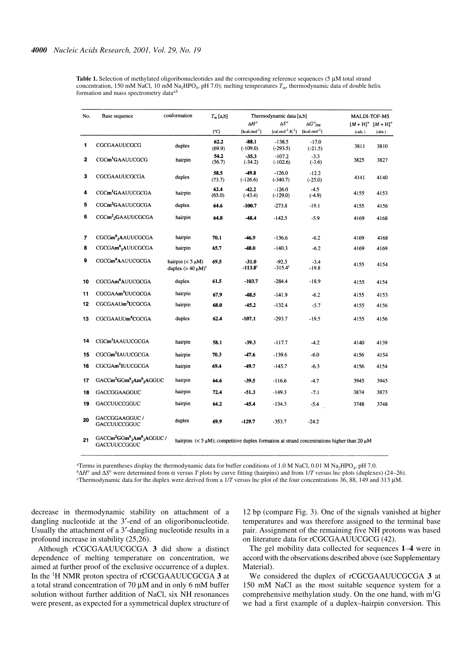**Table 1.** Selection of methylated oligoribonucleotides and the corresponding reference sequences (5 µM total strand concentration, 150 mM NaCl, 10 mM Na<sub>2</sub>HPO<sub>4</sub>, pH 7.0); melting temperatures  $T<sub>m</sub>$ , thermodynamic data of double helix formation and mass spectrometry dataa,b

| No. | Base sequence                                                                       | conformation                                     | $T_m$ [a,b]    | Thermodynamic data [a,b]           |                                           |                      | MALDI-TOF-MS                                                                                          |        |
|-----|-------------------------------------------------------------------------------------|--------------------------------------------------|----------------|------------------------------------|-------------------------------------------|----------------------|-------------------------------------------------------------------------------------------------------|--------|
|     |                                                                                     |                                                  |                | $\Delta H^o$<br>$\Delta S^{\circ}$ |                                           | $\Delta G^o_{\ 298}$ | $[M + H]^+$ $[M + H]^+$                                                                               |        |
|     |                                                                                     |                                                  | [°C]           | $[kcal.mol^{-1}]$                  | [cal.mol <sup>-1</sup> .K <sup>-1</sup> ] | $\{kcal.mol^{-1}\}$  | (calc.)                                                                                               | (obs.) |
| 1   | CGCGAAUUCGCG                                                                        | duplex                                           | 62.2<br>(69.9) | $-88.1$<br>$(-109.0)$              | $-138.5$<br>$(-293.5)$                    | $-17.0$<br>$(-21.5)$ | 3811                                                                                                  | 3810   |
| 2   | CGCm <sup>1</sup> GAAUUCGCG                                                         | hairpin                                          | 54.2<br>(56.7) | $-35.3$<br>$(-34.2)$               | $-107.2$<br>$(-102.6)$                    | $-3.3$<br>$(-3.6)$   | 3825                                                                                                  | 3827   |
| 3   | CGCGAAUUCGCGA                                                                       | duplex                                           | 58.5<br>(73.7) | $-49.8$<br>$(-126.6)$              | $-126.0$<br>$(-340.7)$                    | $-12.2$<br>$(-25.0)$ | 4141                                                                                                  | 4140   |
| 4   | CGCm <sup>1</sup> GAAUUCGCGA                                                        | hairpin                                          | 62.4<br>(65.0) | $-42.2$<br>$(-43.4)$               | $-126.0$<br>$(-129.0)$                    | $-4.5$<br>$(-4.9)$   | 4155                                                                                                  | 4153   |
| 5   | CGCm <sup>2</sup> GAAUUCGCGA                                                        | duplex                                           | 64.6           | $-100.7$                           | $-273.8$                                  | $-19.1$              | 4155                                                                                                  | 4156   |
| 6   | CGCm <sup>2</sup> <sub>2</sub> GAAUUCGCGA                                           | hairpin                                          | 64.8           | $-48.4$                            | $-142.5$                                  | $-5.9$               | 4169                                                                                                  | 4168   |
| 7   | CGCGm <sup>6</sup> <sub>2</sub> AAUUCGCGA                                           | hairpin                                          | 70.1           | $-46.9$                            | $-136.6$                                  | $-6.2$               | 4169                                                                                                  | 4168   |
| 8   | CGCGAm <sup>6</sup> <sub>2</sub> AUUCGCGA                                           | hairpin                                          | 65.7           | $-48.0$                            | $-140.3$                                  | $-6.2$               | 4169                                                                                                  | 4169   |
| 9   | CGCGm <sup>6</sup> AAUUCGCGA                                                        | hairpin $(< 5 \mu M)$<br>duplex $(> 40 \mu M)^c$ | 69.5           | $-31.0$<br>$-113.8^{\circ}$        | $-92.5$<br>$-315.4^c$                     | $-3.4$<br>$-19.8$    | 4155                                                                                                  | 4154   |
| 10  | CGCGAm <sup>6</sup> AUUCGCGA                                                        | duplex                                           | 61.5           | $-103.7$                           | $-284.4$                                  | $-18.9$              | 4155                                                                                                  | 4154   |
| 11  | CGCGAAm <sup>3</sup> UUCGCGA                                                        | hairpin                                          | 67.9           | $-48.5$                            | $-141.9$                                  | $-6.2$               | 4155                                                                                                  | 4153   |
| 12  | CGCGAAUm <sup>3</sup> UCGCGA                                                        | hairpin                                          | 68.0           | $-45.2$                            | $-132.4$                                  | $-5.7$               | 4155                                                                                                  | 4156   |
| 13  | CGCGAAUUm <sup>4</sup> CGCGA                                                        | duplex                                           | 62.4           | $-107.1$                           | $-293.7$                                  | $-19.5$              | 4155                                                                                                  | 4156   |
| 14  | CGCm <sup>1</sup> IAAUUCGCGA                                                        | hairpin                                          | 58.1           | $-39.3$                            | $-117.7$                                  | $-4.2$               | 4140                                                                                                  | 4139   |
| 15  | CGCGm <sup>1</sup> IAUUCGCGA                                                        | hairpin                                          | 70.3           | $-47.6$                            | $-139.6$                                  | $-6.0$               | 4156                                                                                                  | 4154   |
| 16  | CGCGAm <sup>1</sup> IUUCGCGA                                                        | hairpin                                          | 69.4           | $-49.7$                            | $-145.7$                                  | $-6.3$               | 4156                                                                                                  | 4154   |
|     |                                                                                     |                                                  |                |                                    |                                           |                      |                                                                                                       |        |
| 17  | GACCm <sup>2</sup> GGm <sup>6</sup> <sub>2</sub> Am <sup>6</sup> <sub>2</sub> AGGUC | hairpin                                          | 64.6           | $-39.5$                            | $-116.6$                                  | $-4.7$               | 3945                                                                                                  | 3945   |
| 18  | GACCGGAAGGUC                                                                        | hairpin                                          | 72.4           | $-51.3$                            | $-149.3$                                  | $-7.1$               | 3874                                                                                                  | 3873   |
| 19  | GACCUUCCGGUC                                                                        | hairpin                                          | 64.2           | $-45.4$                            | $-134.3$                                  | $-5.4$               | 3748                                                                                                  | 3748   |
| 20  | GACCGGAAGGUC /<br>GACCUUCCGGUC                                                      | duplex                                           | 69.9           | $-129.7$                           | $-353.7$                                  | $-24.2$              |                                                                                                       |        |
| 21  | $GACCm2GGm62Am62AGGUC/$<br>GACCUUCCGGUC                                             |                                                  |                |                                    |                                           |                      | hairpins $(< 5 \mu M)$ ; competitive duplex formation at strand concentrations higher than 20 $\mu$ M |        |

<sup>a</sup>Terms in parentheses display the thermodynamic data for buffer conditions of 1.0 M NaCl, 0.01 M Na<sub>2</sub>HPO<sub>4</sub>, pH 7.0.<br><sup>b</sup> $\Delta H^{\circ}$  and  $\Delta S^{\circ}$  were determined from  $\alpha$  versus *T* plots by curve fitting (hairpins) and cThermodynamic data for the duplex were derived from a 1/*T* versus ln*c* plot of the four concentrations 36, 88, 149 and 313 µM.

decrease in thermodynamic stability on attachment of a dangling nucleotide at the 3′-end of an oligoribonucleotide. Usually the attachment of a 3′-dangling nucleotide results in a profound increase in stability (25,26).

Although rCGCGAAUUCGCGA **3** did show a distinct dependence of melting temperature on concentration, we aimed at further proof of the exclusive occurrence of a duplex. In the 1H NMR proton spectra of rCGCGAAUUCGCGA **3** at a total strand concentration of 70 µM and in only 6 mM buffer solution without further addition of NaCl, six NH resonances were present, as expected for a symmetrical duplex structure of 12 bp (compare Fig. 3). One of the signals vanished at higher temperatures and was therefore assigned to the terminal base pair. Assignment of the remaining five NH protons was based on literature data for rCGCGAAUUCGCG (42).

The gel mobility data collected for sequences **1**–**4** were in accord with the observations described above (see Supplementary Material).

We considered the duplex of rCGCGAAUUCGCGA **3** at 150 mM NaCl as the most suitable sequence system for a comprehensive methylation study. On the one hand, with  $m<sup>1</sup>G$ we had a first example of a duplex–hairpin conversion. This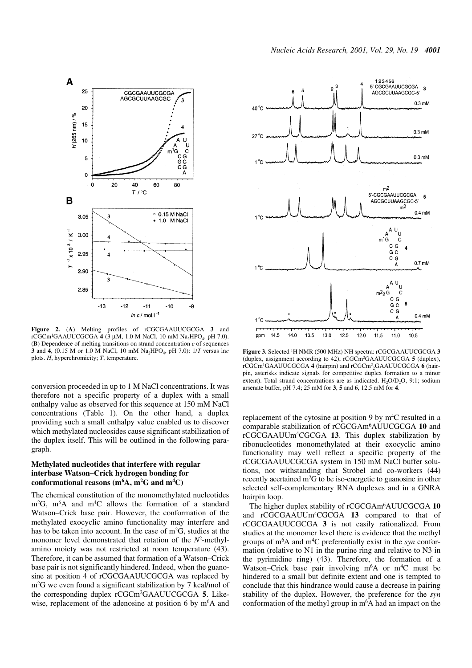



**Figure 2.** (**A**) Melting profiles of rCGCGAAUUCGCGA **3** and  $rCGCm^1GAAUUCGCGA$  **4** (3  $\mu$ M, 1.0 M NaCl, 10 mM Na<sub>2</sub>HPO<sub>4</sub>, pH 7.0). (**B**) Dependence of melting transitions on strand concentration *c* of sequences **3** and **4**, (0.15 M or 1.0 M NaCl, 10 mM Na2HPO4, pH 7.0): 1/*T* versus ln*c* plots. *H*, hyperchromicity; *T*, temperature.

conversion proceeded in up to 1 M NaCl concentrations. It was therefore not a specific property of a duplex with a small enthalpy value as observed for this sequence at 150 mM NaCl concentrations (Table 1). On the other hand, a duplex providing such a small enthalpy value enabled us to discover which methylated nucleosides cause significant stabilization of the duplex itself. This will be outlined in the following paragraph.

#### **Methylated nucleotides that interfere with regular interbase Watson–Crick hydrogen bonding for conformational reasons (m6A, m2G and m4C)**

The chemical constitution of the monomethylated nucleotides  $m<sup>2</sup>G$ ,  $m<sup>6</sup>A$  and  $m<sup>4</sup>C$  allows the formation of a standard Watson–Crick base pair. However, the conformation of the methylated exocyclic amino functionality may interfere and has to be taken into account. In the case of m<sup>2</sup>G, studies at the monomer level demonstrated that rotation of the *N*2-methylamino moiety was not restricted at room temperature (43). Therefore, it can be assumed that formation of a Watson–Crick base pair is not significantly hindered. Indeed, when the guanosine at position 4 of rCGCGAAUUCGCGA was replaced by m2G we even found a significant stabilization by 7 kcal/mol of the corresponding duplex rCGCm2GAAUUCGCGA **5**. Likewise, replacement of the adenosine at position 6 by  $m<sup>6</sup>A$  and



**Figure 3.** Selected 1H NMR (500 MHz) NH spectra: rCGCGAAUUCGCGA **3** (duplex, assignment according to 42), rCGCm2GAAUUCGCGA **5** (duplex), rCGCm1GAAUUCGCGA **4** (hairpin) and rCGCm2 2GAAUUCGCGA **6** (hairpin, asterisks indicate signals for competitive duplex formation to a minor extent). Total strand concentrations are as indicated.  $H_2O/D_2O$ , 9:1; sodium arsenate buffer, pH 7.4; 25 mM for **3**, **5** and **6**, 12.5 mM for **4**.

replacement of the cytosine at position 9 by  $m<sup>4</sup>C$  resulted in a comparable stabilization of rCGCGAm6AUUCGCGA **10** and rCGCGAAUUm4CGCGA **13**. This duplex stabilization by ribonucleotides monomethylated at their exocyclic amino functionality may well reflect a specific property of the rCGCGAAUUCGCGA system in 150 mM NaCl buffer solutions, not withstanding that Strobel and co-workers (44) recently acertained m2G to be iso-energetic to guanosine in other selected self-complementary RNA duplexes and in a GNRA hairpin loop.

The higher duplex stability of rCGCGAm6AUUCGCGA **10** and rCGCGAAUUm4CGCGA **13** compared to that of rCGCGAAUUCGCGA **3** is not easily rationalized. From studies at the monomer level there is evidence that the methyl groups of m6A and m4C preferentially exist in the *syn* conformation (relative to N1 in the purine ring and relative to N3 in the pyrimidine ring) (43). Therefore, the formation of a Watson–Crick base pair involving  $m<sup>6</sup>A$  or  $m<sup>4</sup>C$  must be hindered to a small but definite extent and one is tempted to conclude that this hindrance would cause a decrease in pairing stability of the duplex. However, the preference for the *syn* conformation of the methyl group in  $m<sup>6</sup>A$  had an impact on the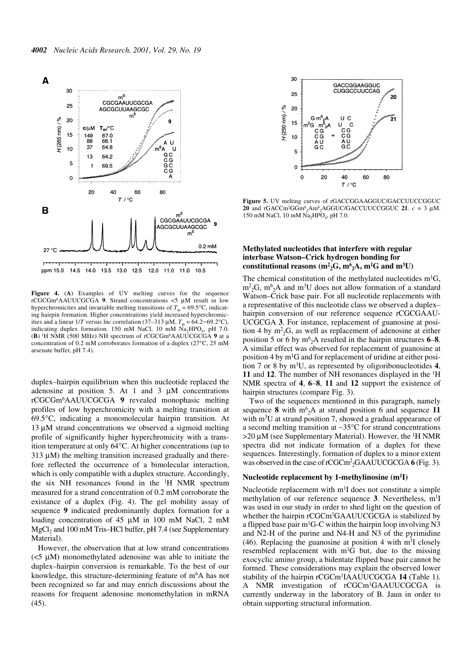

**Figure 4.** (**A**) Examples of UV melting curves for the sequence rCGCGm6AAUUCGCGA **9**. Strand concentrations <5 µM result in low hyperchromicites and invariable melting transitions of  $T_m = 69.5$ °C, indicating hairpin formation. Higher concentrations yield increased hyperchromicities and a linear  $1/T$  versus lnc correlation (37–313  $\mu$ M,  $T_m = 64.2 - 69.2$ °C), indicating duplex formation. 150 mM NaCl, 10 mM  $\text{Na}_2\text{HPO}_4$ , pH 7.0. (**B**) 1H NMR (500 MHz) NH spectrum of rCGCGm6AAUUCGCGA **9** at a concentration of 0.2 mM corroborates formation of a duplex (27°C, 25 mM arsenate buffer, pH 7.4).

duplex–hairpin equilibrium when this nucleotide replaced the adenosine at position 5. At 1 and 3 µM concentrations rCGCGm6AAUUCGCGA **9** revealed monophasic melting profiles of low hyperchromicity with a melting transition at 69.5°C, indicating a monomolecular hairpin transition. At 13 µM strand concentrations we observed a sigmoid melting profile of significantly higher hyperchromicity with a transition temperature at only 64°C. At higher concentrations (up to  $313 \mu M$ ) the melting transition increased gradually and therefore reflected the occurrence of a bimolecular interaction, which is only compatible with a duplex structure. Accordingly, the six NH resonances found in the  $H$  NMR spectrum measured for a strand concentration of 0.2 mM corroborate the existance of a duplex (Fig. 4). The gel mobility assay of sequence **9** indicated predominantly duplex formation for a loading concentration of 45 µM in 100 mM NaCl, 2 mM  $MgCl<sub>2</sub>$  and 100 mM Tris–HCl buffer, pH 7.4 (see Supplementary Material).

However, the observation that at low strand concentrations  $\leq$   $\leq$   $\mu$ M) monomethylated adenosine was able to initiate the duplex–hairpin conversion is remarkable. To the best of our knowledge, this structure-determining feature of m<sup>6</sup>A has not been recognized so far and may enrich discussions about the reasons for frequent adenosine monomethylation in mRNA (45).



**Figure 5.** UV melting curves of rGACCGGAAGGUC/GACCUUCCGGUC **20** and rGACCm<sup>2</sup>GGm<sup>6</sup><sub>2</sub>Am<sup>6</sup><sub>2</sub>AGGUC/GACCUUCCGGUC **21**.  $c = 3 \mu M$ . 150 mM NaCl, 10 mM Na<sub>2</sub>HPO<sub>4</sub>, pH 7.0.

#### **Methylated nucleotides that interfere with regular interbase Watson–Crick hydrogen bonding for** constitutional reasons  $(m^2{}_2G, m^6{}_2A, m^1G$  and  $m^3U)$

The chemical constitution of the methylated nucleotides  $m^{1}G$ ,  $\rm m^2_2G$ ,  $\rm m^6_2A$  and  $\rm m^3U$  does not allow formation of a standard Watson–Crick base pair. For all nucleotide replacements with a representative of this nucleotide class we observed a duplex– hairpin conversion of our reference sequence rCGCGAAU-UCGCGA **3**. For instance, replacement of guanosine at position 4 by  $m<sup>2</sup><sub>2</sub>G$ , as well as replacement of adenosine at either position 5 or 6 by  $m^6{}_{2}$ A resulted in the hairpin structures **6–8**. A similar effect was observed for replacement of guanosine at position 4 by  $m<sup>1</sup>G$  and for replacement of uridine at either position 7 or 8 by m3U, as represented by oligoribonucleotides **4**, **11** and **12**. The number of NH resonances displayed in the 1H NMR spectra of **4**, **6**–**8**, **11** and **12** support the existence of hairpin structures (compare Fig. 3).

Two of the sequences mentioned in this paragraph, namely sequence  $8$  with  $m^6_2A$  at strand position 6 and sequence 11 with m<sup>3</sup>U at strand position 7, showed a gradual appearance of a second melting transition at ∼35°C for strand concentrations  $>$ 20 µM (see Supplementary Material). However, the <sup>1</sup>H NMR spectra did not indicate formation of a duplex for these sequences. Interestingly, formation of duplex to a minor extent was observed in the case of rCGCm<sup>2</sup><sub>2</sub>GAAUUCGCGA **6** (Fig. 3).

#### **Nucleotide replacement by 1-methylinosine (m1I)**

Nucleotide replacement with  $m<sup>1</sup>I$  does not constitute a simple methylation of our reference sequence 3. Nevertheless, m<sup>1</sup>I was used in our study in order to shed light on the question of whether the hairpin rCGCm<sup>1</sup>GAAUUCGCGA is stabilized by a flipped base pair  $m<sup>1</sup>G-C$  within the hairpin loop involving N3 and N2-H of the purine and N4-H and N3 of the pyrimidine (46). Replacing the guanosine at position 4 with  $m<sup>1</sup>I$  closely resembled replacement with m1G but, due to the missing exocyclic amino group, a bidentate flipped base pair cannot be formed. These considerations may explain the observed lower stability of the hairpin rCGCm1IAAUUCGCGA **14** (Table 1). A NMR investigation of rCGCm1GAAUUCGCGA is currently underway in the laboratory of B. Jaun in order to obtain supporting structural information.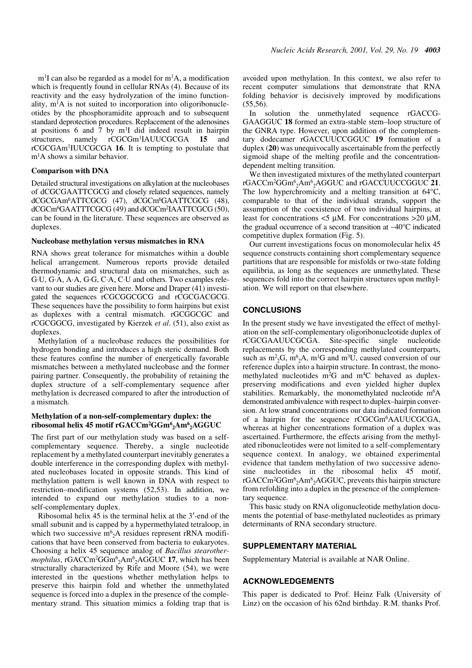$m<sup>1</sup>I$  can also be regarded as a model for  $m<sup>1</sup>A$ , a modification which is frequently found in cellular RNAs (4). Because of its reactivity and the easy hydrolyzation of the imino functionality,  $m<sup>1</sup>A$  is not suited to incorporation into oligoribonucleotides by the phosphoramidite approach and to subsequent standard deprotection procedures. Replacement of the adenosines at positions 6 and 7 by  $m<sup>1</sup>I$  did indeed result in hairpin structures, namely rCGCGm<sup>1</sup>IAUUCGCGA 15 and rCGCGAm1IUUCGCGA **16**. It is tempting to postulate that m1A shows a similar behavior.

#### **Comparison with DNA**

Detailed structural investigations on alkylation at the nucleobases of dCGCGAATTCGCG and closely related sequences, namely dCGCGAm<sup>6</sup>ATTCGCG (47), dCGCm<sup>6</sup>GAATTCGCG (48), dCGCm<sup>6</sup>GAATTTCGCG (49) and dCGCm<sup>2</sup>IAATTCGCG (50), can be found in the literature. These sequences are observed as duplexes.

#### **Nucleobase methylation versus mismatches in RNA**

RNA shows great tolerance for mismatches within a double helical arrangement. Numerous reports provide detailed thermodynamic and structural data on mismatches, such as G·U, G·A, A·A, G·G, C·A, C·U and others. Two examples relevant to our studies are given here. Morse and Draper (41) investigated the sequences rCGCGGCGCG and rCGCGACGCG. These sequences have the possibility to form hairpins but exist as duplexes with a central mismatch. rGCGGCGC and rCGCGGCG, investigated by Kierzek *et al*. (51), also exist as duplexes.

Methylation of a nucleobase reduces the possibilities for hydrogen bonding and introduces a high steric demand. Both these features confine the number of energetically favorable mismatches between a methylated nucleobase and the former pairing partner. Consequently, the probability of retaining the duplex structure of a self-complementary sequence after methylation is decreased compared to after the introduction of a mismatch.

#### **Methylation of a non-self-complementary duplex: the ribosomal helix 45 motif rGACCm2GGm6 2Am6 2AGGUC**

The first part of our methylation study was based on a selfcomplementary sequence. Thereby, a single nucleotide replacement by a methylated counterpart inevitably generates a double interference in the corresponding duplex with methylated nucleobases located in opposite strands. This kind of methylation pattern is well known in DNA with respect to restriction–modification systems (52,53). In addition, we intended to expand our methylation studies to a nonself-complementary duplex.

Ribosomal helix 45 is the terminal helix at the 3′-end of the small subunit and is capped by a hypermethylated tetraloop, in which two successive  $m<sup>6</sup>_{2}A$  residues represent rRNA modifications that have been conserved from bacteria to eukaryotes. Choosing a helix 45 sequence analog of *Bacillus stearothermophilus*, rGACCm2GGm6 2Am6 2AGGUC **17**, which has been structurally characterized by Rife and Moore (54), we were interested in the questions whether methylation helps to preserve this hairpin fold and whether the unmethylated sequence is forced into a duplex in the presence of the complementary strand. This situation mimics a folding trap that is avoided upon methylation. In this context, we also refer to recent computer simulations that demonstrate that RNA folding behavior is decisively improved by modifications  $(55,56)$ .

In solution the unmethylated sequence rGACCG-GAAGGUC **18** formed an extra-stable stem–loop structure of the GNRA type. However, upon addition of the complementary dodecamer rGACCUUCCGGUC **19** formation of a duplex (**20**) was unequivocally ascertainable from the perfectly sigmoid shape of the melting profile and the concentrationdependent melting transition.

We then investigated mixtures of the methylated counterpart rGACCm2GGm6 2Am6 2AGGUC and rGACCUUCCGGUC **21**. The low hyperchromicity and a melting transition at 64°C, comparable to that of the individual strands, support the assumption of the coexistence of two individual hairpins, at least for concentrations  $\lt 5 \mu M$ . For concentrations  $>20 \mu M$ , the gradual occurrence of a second transition at ∼40°C indicated competitive duplex formation (Fig. 5).

Our current investigations focus on monomolecular helix 45 sequence constructs containing short complementary sequence partitions that are responsible for misfolds or two-state folding equilibria, as long as the sequences are unmethylated. These sequences fold into the correct hairpin structures upon methylation. We will report on that elsewhere.

#### **CONCLUSIONS**

In the present study we have investigated the effect of methylation on the self-complementary oligoribonucleotide duplex of rCGCGAAUUCGCGA. Site-specific single nucleotide replacements by the corresponding methylated counterparts, such as  $m^2 {}_2G$ ,  $m^6 {}_2A$ ,  $m^1 G$  and  $m^3 U$ , caused conversion of our reference duplex into a hairpin structure. In contrast, the monomethylated nucleotides  $m<sup>2</sup>G$  and  $m<sup>4</sup>C$  behaved as duplexpreserving modifications and even yielded higher duplex stabilities. Remarkably, the monomethylated nucleotide  $m<sup>6</sup>A$ demonstrated ambivalence with respect to duplex–hairpin conversion. At low strand concentrations our data indicated formation of a hairpin for the sequence rCGCGm6AAUUCGCGA, whereas at higher concentrations formation of a duplex was ascertained. Furthermore, the effects arising from the methylated ribonucleotides were not limited to a self-complementary sequence context. In analogy, we obtained experimental evidence that tandem methylation of two successive adenosine nucleotides in the ribosomal helix 45 motif, rGACCm<sup>2</sup>GGm<sup>6</sup>2Am<sup>6</sup>2AGGUC, prevents this hairpin structure from refolding into a duplex in the presence of the complementary sequence.

This basic study on RNA oligonucleotide methylation documents the potential of base-methylated nucleotides as primary determinants of RNA secondary structure.

#### **SUPPLEMENTARY MATERIAL**

Supplementary Material is available at NAR Online.

#### **ACKNOWLEDGEMENTS**

This paper is dedicated to Prof. Heinz Falk (University of Linz) on the occasion of his 62nd birthday. R.M. thanks Prof.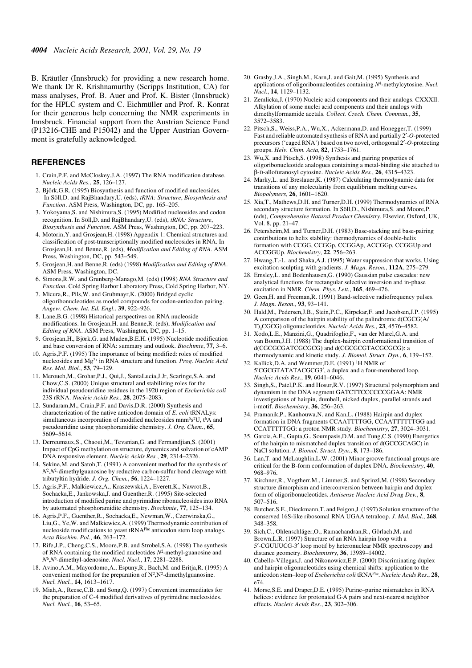B. Kräutler (Innsbruck) for providing a new research home. We thank Dr R. Krishnamurthy (Scripps Institution, CA) for mass analyses, Prof. B. Auer and Prof. K. Bister (Innsbruck) for the HPLC system and C. Eichmüller and Prof. R. Konrat for their generous help concerning the NMR experiments in Innsbruck. Financial support from the Austrian Science Fund (P13216-CHE and P15042) and the Upper Austrian Government is gratefully acknowledged.

#### **REFERENCES**

- 1. Crain,P.F. and McCloskey,J.A. (1997) The RNA modification database. *Nucleic Acids Res.*, **25**, 126–127.
- 2. Björk,G.R. (1995) Biosynthesis and function of modified nucleosides. In Söll,D. and RajBhandary,U. (eds), *tRNA: Structure*, *Biosynthesis and Function*. ASM Press, Washington, DC, pp. 165–205.
- 3. Yokoyama,S. and Nishimura,S. (1995) Modified nucleosides and codon recognition. In Söll,D. and RajBhandary,U. (eds), *tRNA: Structure*, *Biosynthesis and Function*. ASM Press, Washington, DC, pp. 207–223.
- 4. Motorin,Y. and Grosjean,H. (1998) Appendix 1: Chemical structures and classification of post-transcriptionally modified nucleosides in RNA. In Grosjean,H. and Benne,R. (eds), *Modification and Editing of RNA*. ASM Press, Washington, DC, pp. 543–549.
- 5. Grosjean,H. and Benne,R. (eds) (1998) *Modification and Editing of RNA*. ASM Press, Washington, DC.
- 6. Simons,R.W. and Grunberg-Manago,M. (eds) (1998) *RNA Structure and Function*. Cold Spring Harbor Laboratory Press, Cold Spring Harbor, NY.
- 7. Micura,R., Pils,W. and Grubmayr,K. (2000) Bridged cyclic oligoribonucleotides as model compounds for codon-anticodon pairing. *Angew. Chem. Int. Ed. Engl.*, **39**, 922–926.
- 8. Lane,B.G. (1998) Historical perspectives on RNA nucleoside modifications. In Grosjean,H. and Benne,R. (eds), *Modification and Editing of RNA*. ASM Press, Washington, DC, pp. 1–15.
- 9. Grosjean,H., Björk,G. and Maden,B.E.H. (1995) Nucleotide modification and base conversion of RNA: summary and outlook. *Biochimie*, **77**, 3–6.
- 10. Agris,P.F. (1995) The importance of being modified: roles of modified nucleosides and Mg2+ in RNA structure and function. *Prog. Nucleic Acid Res. Mol. Biol.*, **53**, 79–129.
- 11. Meroueh,M., Grohar,P.J., Qui,J., SantaLucia,J.Jr, Scaringe,S.A. and Chow,C.S. (2000) Unique structural and stabilizing roles for the individual pseudouridine residues in the 1920 region of *Escherichia coli* 23S rRNA. *Nucleic Acids Res.*, **28**, 2075–2083.
- 12. Sundaram,M., Crain,P.F. and Davis,D.R. (2000) Synthesis and characterization of the native anticodon domain of *E. coli* tRNALys: simultaneous incorporation of modified nucleosides mnm<sup>5</sup>s<sup>2</sup>U,  $t^6A$  and pseudouridine using phosphoramidite chemistry. *J. Org. Chem.*, **65**, 5609–5614.
- 13. Derreumaux,S., Chaoui,M., Tevanian,G. and Fermandjian,S. (2001) Impact of CpG methylation on structure, dynamics and solvation of cAMP DNA responsive element. *Nucleic Acids Res.*, **29**, 2314–2326.
- 14. Sekine,M. and Satoh,T. (1991) A convenient method for the synthesis of  $N^2$ , $N^2$ -dimethylguanosine by reductive carbon-sulfur bond cleavage with tributyltin hydride. *J. Org. Chem.*, **56**, 1224–1227.
- 15. Agris,P.F., Malkiewicz,A., Kraszewski,A., Everett,K., Nawrot,B., Sochacka,E., Jankowska,J. and Guenther,R. (1995) Site-selected introduction of modified purine and pyrimidine ribonucleosides into RNA by automated phosphoramidite chemistry. *Biochimie*, **77**, 125–134.
- 16. Agris,P.F., Guenther,R., Sochacka,E., Newman,W., Czerwinska,G., Liu,G., Ye,W. and Malkiewicz,A. (1999) Thermodynamic contribution of nucleoside modifications to yeast tRNAPhe anticodon stem loop analogs. *Acta Biochim. Pol.*, **46**, 263–172.
- 17. Rife,J.P., Cheng,C.S., Moore,P.B. and Strobel,S.A. (1998) The synthesis of RNA containing the modified nucleotides *N*2-methyl-guanosine and *N*6,*N*6-dimethyl-adenosine. *Nucl. Nucl.*, **17**, 2281–2288.
- 18. Avino,A.M., Mayordomo,A., Espuny,R., Bach,M. and Eritja,R. (1995) A convenient method for the preparation of  $N^2$ ,  $N^2$ -dimethylguanosine. *Nucl. Nucl.*, **14**, 1613–1617.
- 19. Miah,A., Reese,C.B. and Song,Q. (1997) Convenient intermediates for the preparation of C-4 modified derivatives of pyrimidine nucleosides. *Nucl. Nucl.*, **16**, 53–65.
- 20. Grasby,J.A., Singh,M., Karn,J. and Gait,M. (1995) Synthesis and applications of oligoribonucleotides containing *N*4-methylcytosine. *Nucl. Nucl.*, **14**, 1129–1132.
- 21. Zemlicka,J. (1970) Nucleic acid components and their analogs. CXXXII. Alkylation of some nuclei acid components and their analogs with dimethylformamide acetals. *Collect. Czech. Chem. Commun.*, **35**, 3572–3583.
- 22. Pitsch,S., Weiss,P.A., Wu,X., Ackermann,D. and Honegger,T. (1999) Fast and reliable automated synthesis of RNA and partially 2′-*O*-protected precursors ('caged RNA') based on two novel, orthogonal 2′-*O*-protecting groups. *Helv. Chim. Acta*, **82**, 1753–1761.
- 23. Wu,X. and Pitsch,S. (1998) Synthesis and pairing properties of oligoribonucleotide analogues containing a metal-binding site attached to β-D-allofuranosyl cytosine. *Nucleic Acids Res.*, **26**, 4315–4323.
- 24. Marky,L. and Breslauer,K. (1987) Calculating thermodynamic data for transitions of any molecularity from equilibrium melting curves. *Biopolymers*, **26**, 1601–1620.
- 25. Xia,T., Mathews,D.H. and Turner,D.H. (1999) Thermodynamics of RNA secondary structure formation. In Söll, D., Nishimura, S. and Moore, P. (eds), *Comprehensive Natural Product Chemistry*. Elsevier, Oxford, UK, Vol. 8, pp. 21–47.
- 26. Petersheim,M. and Turner,D.H. (1983) Base-stacking and base-pairing contributions to helix stability: thermodynamics of double-helix formation with CCGG, CCGGp, CCGGAp, ACCGGp, CCGGUp and ACCGGUp. *Biochemistry*, **22**, 256–263.
- 27. Hwang,T.-L. and Shaka,A.J. (1995) Water suppression that works. Using excitation sculpting with gradients. *J. Magn. Reson.*, **112A**, 275–279.
- 28. Emsley,L. and Bodenhausen,G. (1990) Gaussian pulse cascades: new analytical functions for rectangular selective inversion and in-phase excitation in NMR. *Chem. Phys. Lett.*, **165**, 469–476.
- 29. Geen,H. and Freeman,R. (1991) Band-selective radiofrequency pulses. *J. Magn. Reson.*, **93**, 93–141.
- 30. Hald,M., Pedersen,J.B., Stein,P.C., Kirpekar,F. and Jacobsen,J.P. (1995) A comparison of the hairpin stability of the palindromic d(CGCG(A/ T)4CGCG) oligonucleotides. *Nucleic Acids Res.*, **23**, 4576–4582.
- 31. Xodo,L.E., Manzini,G., Quadrifoglio,F., van der Marel,G.A. and van Boom,J.H. (1988) The duplex-hairpin conformational transition of d(CGCGCGATCGCGCG) and d(CGCGCGTACGCGCG): a thermodynamic and kinetic study. *J. Biomol. Struct. Dyn.*, **6**, 139–152.
- 32. Kallick,D.A. and Wemmer,D.E. (1991) 1H NMR of 5′CGCGTATATACGCG3′, a duplex and a four-membered loop. *Nucleic Acids Res.*, **19**, 6041–6046.
- 33. Singh,S., Patel,P.K. and Hosur,R.V. (1997) Structural polymorphism and dynamism in the DNA segment GATCTTCCCCCCGGAA: NMR investigations of hairpin, dumbell, nicked duplex, parallel strands and i-motif. *Biochemistry*, **36**, 256–263.
- 34. Pramanik,P., Kanhouwa,N. and Kan,L. (1988) Hairpin and duplex formation in DNA fragments CCAATTTTGG, CCAATTTTTGG and CCATTTTTGG: a proton NMR study. *Biochemistry*, **27**, 3024–3031.
- 35. Garcia,A.E., Gupta,G., Soumpasis,D.M. and Tung,C.S. (1990) Energetics of the hairpin to mismatched duplex transition of d(GCCGCAGC) in NaCl solution. *J. Biomol. Struct. Dyn.*, **8**, 173–186.
- 36. Lan,T. and McLaughlin,L.W. (2001) Minor groove functional groups are critical for the B-form conformation of duplex DNA. *Biochemistry*, **40**, 968–976.
- 37. Kirchner,R., Vogtherr,M., Limmer,S. and Sprinzl,M. (1998) Secondary structure dimorphism and interconversion between hairpin and duplex form of oligoribonucleotides. *Antisense Nucleic Acid Drug Dev.*, **8**, 507–516.
- 38. Butcher,S.E., Dieckmann,T. and Feigon,J. (1997) Solution structure of the conserved 16S-like ribosomal RNA UGAA tetraloop. *J. Mol. Biol.*, **268**, 348–358.
- 39. Sich,C., Ohlenschläger,O., Ramachandran,R., Görlach,M. and Brown,L.R. (1997) Structure of an RNA hairpin loop with a 5′-CGUUUCG-3′ loop motif by heteronuclear NMR spectroscopy and distance geometry. *Biochemistry*, **36**, 13989–14002.
- 40. Cabello-Villegas,J. and Nikonowicz,E.P. (2000) Discriminating duplex and hairpin oligonucleotides using chemical shifts: application to the anticodon stem–loop of *Escherichia coli* tRNAPhe. *Nucleic Acids Res.*, **28**,  $674$
- 41. Morse,S.E. and Draper,D.E. (1995) Purine–purine mismatches in RNA helices: evidence for protonated G·A pairs and next-nearest neighbor effects. *Nucleic Acids Res.*, **23**, 302–306.